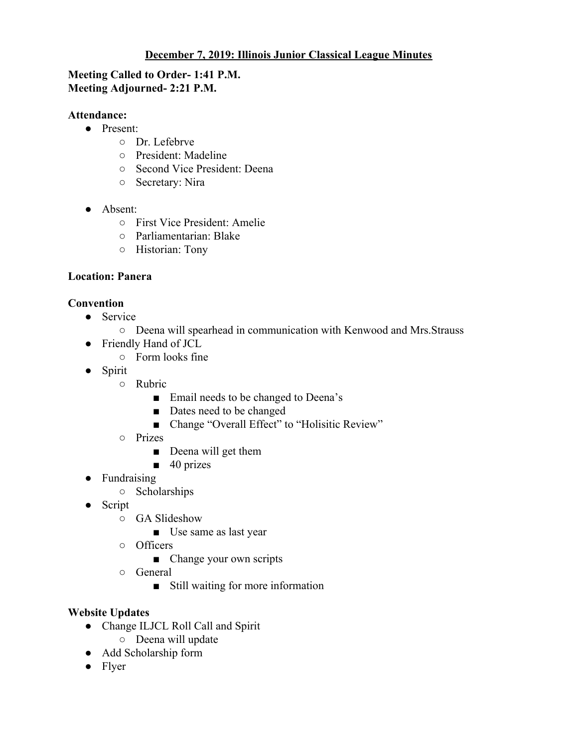## **December 7, 2019: Illinois Junior Classical League Minutes**

### **Meeting Called to Order- 1:41 P.M. Meeting Adjourned- 2:21 P.M.**

#### **Attendance:**

- Present:
	- Dr. Lefebrve
	- President: Madeline
	- Second Vice President: Deena
	- Secretary: Nira
- Absent:
	- First Vice President: Amelie
	- Parliamentarian: Blake
	- Historian: Tony

# **Location: Panera**

# **Convention**

- Service
	- Deena will spearhead in communication with Kenwood and Mrs.Strauss
- Friendly Hand of JCL
	- $\circ$  Form looks fine
- Spirit
	- Rubric
		- Email needs to be changed to Deena's
		- Dates need to be changed
		- Change "Overall Effect" to "Holisitic Review"
	- Prizes
		- Deena will get them
		- $\blacksquare$  40 prizes
- Fundraising
	- Scholarships
- Script
	- GA Slideshow
		- Use same as last year
	- Officers
		- Change your own scripts
	- General
		- Still waiting for more information

### **Website Updates**

- Change ILJCL Roll Call and Spirit
	- Deena will update
- Add Scholarship form
- Flyer